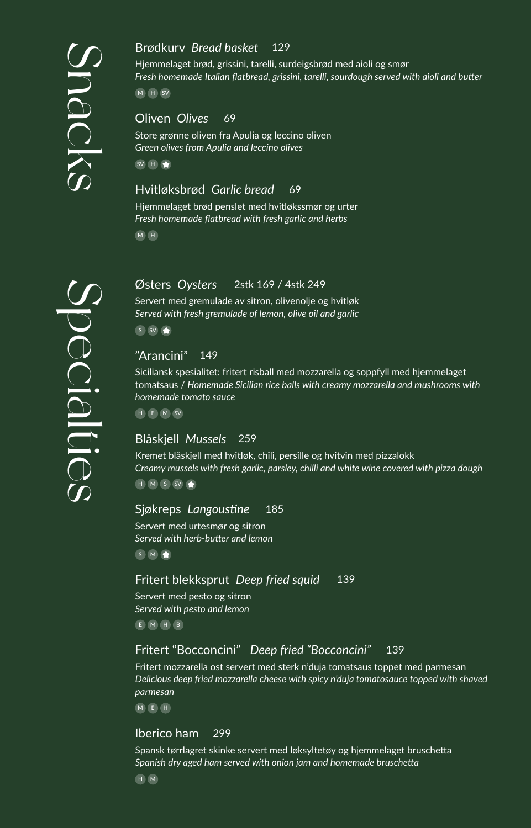#### 129 Brødkurv *Bread basket*

Hjemmelaget brød, grissini, tarelli, surdeigsbrød med aioli og smør *Fresh homemade Italian flatbread, grissini, tarelli, sourdough served with aioli and butter*

M H SV

#### Oliven *Olives* 69

Store grønne oliven fra Apulia og leccino oliven *Green olives from Apulia and leccino olives*

SV H

## Hvitløksbrød *Garlic bread* 69

Hjemmelaget brød penslet med hvitløkssmør og urter *Fresh homemade flatbread with fresh garlic and herbs* M H

#### 2stk 169 / 4stk 249 Østers *Oysters*

Servert med gremulade av sitron, olivenolje og hvitløk *Served with fresh gremulade of lemon, olive oil and garlic*

S SV

## "Arancini" 149

Siciliansk spesialitet: fritert risball med mozzarella og soppfyll med hjemmelaget tomatsaus / *Homemade Sicilian rice balls with creamy mozzarella and mushrooms with homemade tomato sauce*

H E M SV

#### Blåskjell *Mussels* 259

Kremet blåskjell med hvitløk, chili, persille og hvitvin med pizzalokk *Creamy mussels with fresh garlic, parsley, chilli and white wine covered with pizza dough*  $H$  M S SV

#### Sjøkreps *Langoustine* 185

Servert med urtesmør og sitron *Served with herb-butter and lemon* S M

#### Fritert blekksprut *Deep fried squid* 139

Servert med pesto og sitron *Served with pesto and lemon* E M H B

## Fritert "Bocconcini" *Deep fried "Bocconcini"* 139

Fritert mozzarella ost servert med sterk n'duja tomatsaus toppet med parmesan *Delicious deep fried mozzarella cheese with spicy n'duja tomatosauce topped with shaved parmesan*

M E H

#### Iberico ham 299

Spansk tørrlagret skinke servert med løksyltetøy og hjemmelaget bruschetta *Spanish dry aged ham served with onion jam and homemade bruschetta*

H M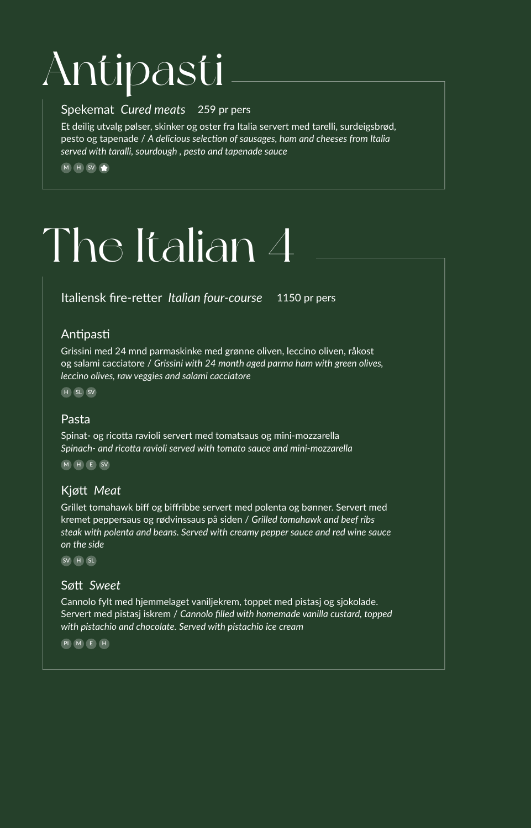# Antipasti

## Spekemat *Cured meats* 259 pr pers

Et deilig utvalg pølser, skinker og oster fra Italia servert med tarelli, surdeigsbrød, pesto og tapenade / *A delicious selection of sausages, ham and cheeses from Italia served with taralli, sourdough , pesto and tapenade sauce*

 $M$  H SV

# The Italian 4

Italiensk fire-retter *Italian four-course* 1150 pr pers

# Antipasti

Grissini med 24 mnd parmaskinke med grønne oliven, leccino oliven, råkost og salami cacciatore / *Grissini with 24 month aged parma ham with green olives, leccino olives, raw veggies and salami cacciatore*

H SL SV

# Pasta

Spinat- og ricotta ravioli servert med tomatsaus og mini-mozzarella *Spinach- and ricotta ravioli served with tomato sauce and mini-mozzarella*

M H E SV

# Kjøtt *Meat*

Grillet tomahawk biff og biffribbe servert med polenta og bønner. Servert med kremet peppersaus og rødvinssaus på siden / *Grilled tomahawk and beef ribs steak with polenta and beans. Served with creamy pepper sauce and red wine sauce on the side* 

SV H SL

# Søtt *Sweet*

Cannolo fylt med hjemmelaget vaniljekrem, toppet med pistasj og sjokolade. Servert med pistasj iskrem / *Cannolo filled with homemade vanilla custard, topped with pistachio and chocolate. Served with pistachio ice cream*

PI M E H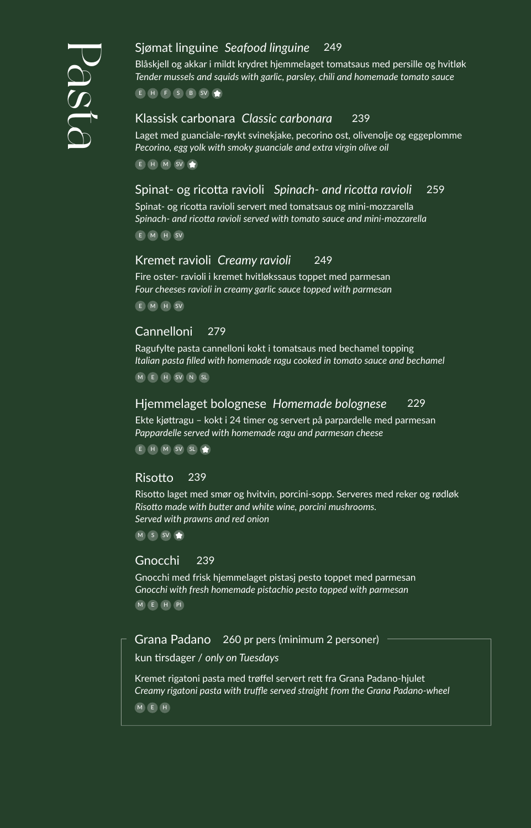## Sjømat linguine *Seafood linguine* 249

Blåskjell og akkar i mildt krydret hjemmelaget tomatsaus med persille og hvitløk *Tender mussels and squids with garlic, parsley, chili and homemade tomato sauce*

 $E$  H  $F$  S B SV

#### Klassisk carbonara *Classic carbonara* 239

Laget med guanciale-røykt svinekjake, pecorino ost, olivenolje og eggeplomme *Pecorino, egg yolk with smoky guanciale and extra virgin olive oil*

E H M SV

## Spinat- og ricotta ravioli *Spinach- and ricotta ravioli* 259

Spinat- og ricotta ravioli servert med tomatsaus og mini-mozzarella *Spinach- and ricotta ravioli served with tomato sauce and mini-mozzarella*

E M H SV

#### Kremet ravioli *Creamy ravioli* 249

Fire oster- ravioli i kremet hvitløkssaus toppet med parmesan *Four cheeses ravioli in creamy garlic sauce topped with parmesan*

E M H SV

#### Cannelloni 279

Ragufylte pasta cannelloni kokt i tomatsaus med bechamel topping *Italian pasta filled with homemade ragu cooked in tomato sauce and bechamel*

M E H SV N SL

#### Hjemmelaget bolognese *Homemade bolognese* 229

Ekte kjøttragu – kokt i 24 timer og servert på parpardelle med parmesan *Pappardelle served with homemade ragu and parmesan cheese*

E H M SV SL

#### Risotto 239

Risotto laget med smør og hvitvin, porcini-sopp. Serveres med reker og rødløk *Risotto made with butter and white wine, porcini mushrooms. Served with prawns and red onion*

 $M$  S SV

#### Gnocchi 239

Gnocchi med frisk hjemmelaget pistasj pesto toppet med parmesan *Gnocchi with fresh homemade pistachio pesto topped with parmesan* M E H PI

Grana Padano 260 pr pers (minimum 2 personer)

kun tirsdager / *only on Tuesdays*

Kremet rigatoni pasta med trøffel servert rett fra Grana Padano-hjulet *Creamy rigatoni pasta with truffle served straight from the Grana Padano-wheel*

M E H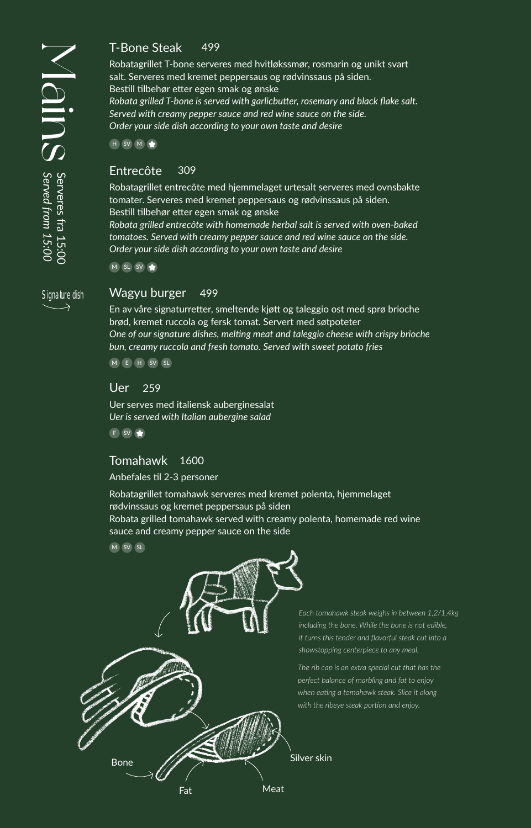Signature dish $\rightarrow$ 

#### T-Bone Steak 499

Robatagrillet T-bone serveres med hvitløkssmør, rosmarin og unikt svart salt. Serveres med kremet peppersaus og rødvinssaus på siden. Bestill tilbehør etter egen smak og ønske *Robata grilled T-bone is served with garlicbutter, rosemary and black flake salt. Served with creamy pepper sauce and red wine sauce on the side.*

*Order your side dish according to your own taste and desire*

H SV M

#### Entrecôte 309

Robatagrillet entrecôte med hjemmelaget urtesalt serveres med ovnsbakte tomater. Serveres med kremet peppersaus og rødvinssaus på siden. Bestill tilbehør etter egen smak og ønske

*Robata grilled entrecôte with homemade herbal salt is served with oven-baked tomatoes. Served with creamy pepper sauce and red wine sauce on the side. Order your side dish according to your own taste and desire*

M SL SV

#### Wagyu burger 499

En av våre signaturretter, smeltende kjøtt og taleggio ost med sprø brioche brød, kremet ruccola og fersk tomat. Servert med søtpoteter *One of our signature dishes, melting meat and taleggio cheese with crispy brioche bun, creamy ruccola and fresh tomato. Served with sweet potato fries*

M E H SV SL

#### Uer 259

Uer serves med italiensk auberginesalat *Uer is served with Italian aubergine salad*

F SV

#### Tomahawk 1600

Anbefales til 2-3 personer

Robatagrillet tomahawk serveres med kremet polenta, hjemmelaget rødvinssaus og kremet peppersaus på siden Robata grilled tomahawk served with creamy polenta, homemade red wine sauce and creamy pepper sauce on the side

 $M$   $(SV)$   $SL$ 



*Each tomahawk steak weighs in between 1,2/1,4kg including the bone. While the bone is not edible, it turns this tender and flavorful steak cut into a showstopping centerpiece to any meal.*

*The rib cap is an extra special cut that has the perfect balance of marbling and fat to enjoy when eating a tomahawk steak. Slice it along with the ribeye steak portion and enjoy.*

Silver skin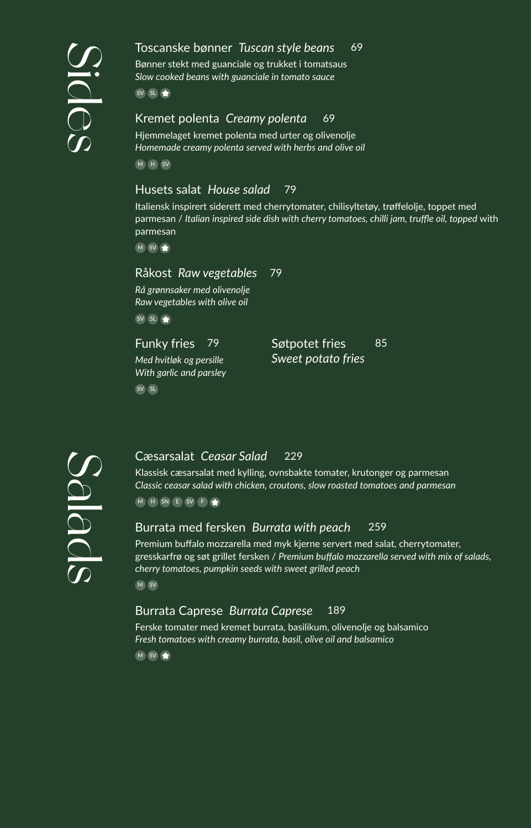#### 69 Toscanske bønner *Tuscan style beans*

Bønner stekt med guanciale og trukket i tomatsaus *Slow cooked beans with guanciale in tomato sauce*

SV SL

#### Kremet polenta *Creamy polenta* 69

Hjemmelaget kremet polenta med urter og olivenolje *Homemade creamy polenta served with herbs and olive oil*

M H SV

## Husets salat *House salad* 79

Italiensk inspirert siderett med cherrytomater, chilisyltetøy, trøffelolje, toppet med parmesan / *Italian inspired side dish with cherry tomatoes, chilli jam, truffle oil, topped* with parmesan

 $M$  SV

#### Råkost *Raw vegetables* 79

*Rå grønnsaker med olivenolje Raw vegetables with olive oil*

SV SL

Funky fries 79

*Med hvitløk og persille With garlic and parsley* Søtpotet fries 85 *Sweet potato fries*

SV SL



#### 229 Cæsarsalat *Ceasar Salad*

Klassisk cæsarsalat med kylling, ovnsbakte tomater, krutonger og parmesan *Classic ceasar salad with chicken, croutons, slow roasted tomatoes and parmesan* M H SN E SV F

# Burrata med fersken *Burrata with peach* 259

Premium buffalo mozzarella med myk kjerne servert med salat, cherrytomater, gresskarfrø og søt grillet fersken / *Premium buffalo mozzarella served with mix of salads, cherry tomatoes, pumpkin seeds with sweet grilled peach*  $M$  SV

## Burrata Caprese *Burrata Caprese* 189

Ferske tomater med kremet burrata, basilikum, olivenolje og balsamico *Fresh tomatoes with creamy burrata, basil, olive oil and balsamico* M SV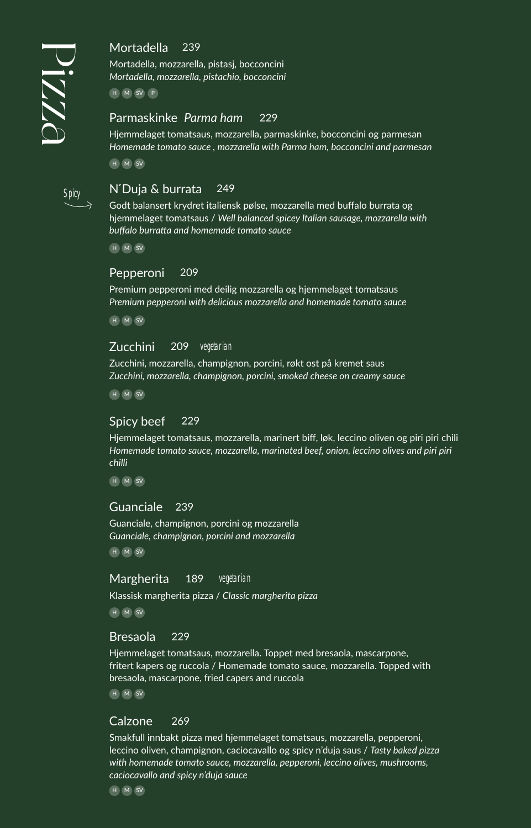Spicy

# Mortadella 239

Mortadella, mozzarella, pistasj, bocconcini *Mortadella, mozzarella, pistachio, bocconcini* 

H M SV P

## Parmaskinke *Parma ham* 229

Hjemmelaget tomatsaus, mozzarella, parmaskinke, bocconcini og parmesan *Homemade tomato sauce , mozzarella with Parma ham, bocconcini and parmesan*

H M SV

# N ́Duja & burrata 249

Godt balansert krydret italiensk pølse, mozzarella med buffalo burrata og hjemmelaget tomatsaus / *Well balanced spicey Italian sausage, mozzarella with buffalo burratta and homemade tomato sauce*

H M SV

#### Pepperoni 209

Premium pepperoni med deilig mozzarella og hjemmelaget tomatsaus *Premium pepperoni with delicious mozzarella and homemade tomato sauce*

H M SV

#### Zucchini 209 vegetarian

Zucchini, mozzarella, champignon, porcini, røkt ost på kremet saus *Zucchini, mozzarella, champignon, porcini, smoked cheese on creamy sauce*

H M SV

#### Spicy beef 229

Hjemmelaget tomatsaus, mozzarella, marinert biff, løk, leccino oliven og piri piri chili *Homemade tomato sauce, mozzarella, marinated beef, onion, leccino olives and piri piri chilli*

H M SV

#### Guanciale 239

Guanciale, champignon, porcini og mozzarella *Guanciale, champignon, porcini and mozzarella* H M SV

#### Margherita 189 vegetarian

Klassisk margherita pizza / *Classic margherita pizza*

H M SV

#### Bresaola 229

Hjemmelaget tomatsaus, mozzarella. Toppet med bresaola, mascarpone, fritert kapers og ruccola / Homemade tomato sauce, mozzarella. Topped with bresaola, mascarpone, fried capers and ruccola H M SV

#### Calzone 269

Smakfull innbakt pizza med hjemmelaget tomatsaus, mozzarella, pepperoni, leccino oliven, champignon, caciocavallo og spicy n'duja saus / *Tasty baked pizza with homemade tomato sauce, mozzarella, pepperoni, leccino olives, mushrooms, caciocavallo and spicy n'duja sauce*

H M SV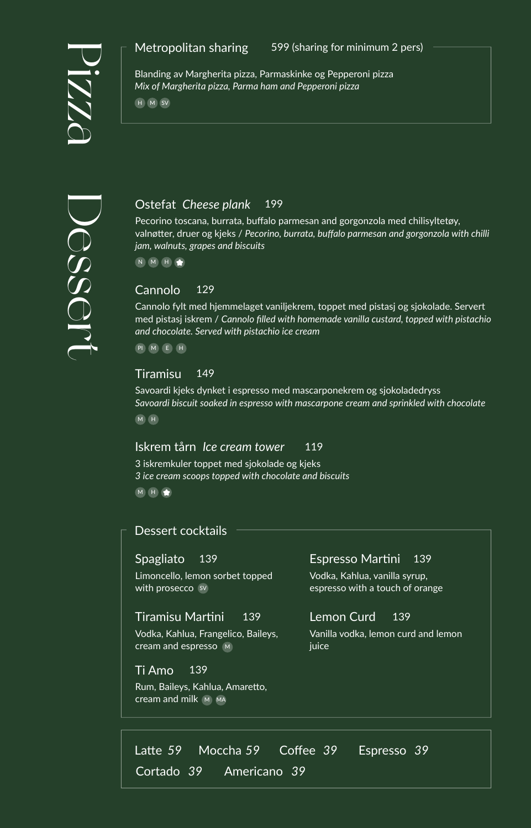# Metropolitan sharing

599 (sharing for minimum 2 pers)



Blanding av Margherita pizza, Parmaskinke og Pepperoni pizza *Mix of Margherita pizza, Parma ham and Pepperoni pizza*

H M SV

# Ostefat *Cheese plank* 199

Pecorino toscana, burrata, buffalo parmesan and gorgonzola med chilisyltetøy, valnøtter, druer og kjeks / *Pecorino, burrata, buffalo parmesan and gorgonzola with chilli jam, walnuts, grapes and biscuits*

N M H

# Cannolo 129

Cannolo fylt med hjemmelaget vaniljekrem, toppet med pistasj og sjokolade. Servert med pistasj iskrem / *Cannolo filled with homemade vanilla custard, topped with pistachio and chocolate. Served with pistachio ice cream*

PI M E H

#### Tiramisu 149

Savoardi kjeks dynket i espresso med mascarponekrem og sjokoladedryss *Savoardi biscuit soaked in espresso with mascarpone cream and sprinkled with chocolate* M H

# Iskrem tårn *Ice cream tower* 119

3 iskremkuler toppet med sjokolade og kjeks *3 ice cream scoops topped with chocolate and biscuits* M H  $\bigoplus$ 

# Dessert cocktails

#### Spagliato 139

Limoncello, lemon sorbet topped with prosecco sv

## Tiramisu Martini 139

Vodka, Kahlua, Frangelico, Baileys, cream and espresso M

## Ti Amo 139

Rum, Baileys, Kahlua, Amaretto, cream and milk M MA

## Espresso Martini 139

Vodka, Kahlua, vanilla syrup, espresso with a touch of orange

# Lemon Curd 139

Vanilla vodka, lemon curd and lemon juice

Latte 59 Moccha 59 Coffee 39 Espresso 39 Cortado 39 *39 39*